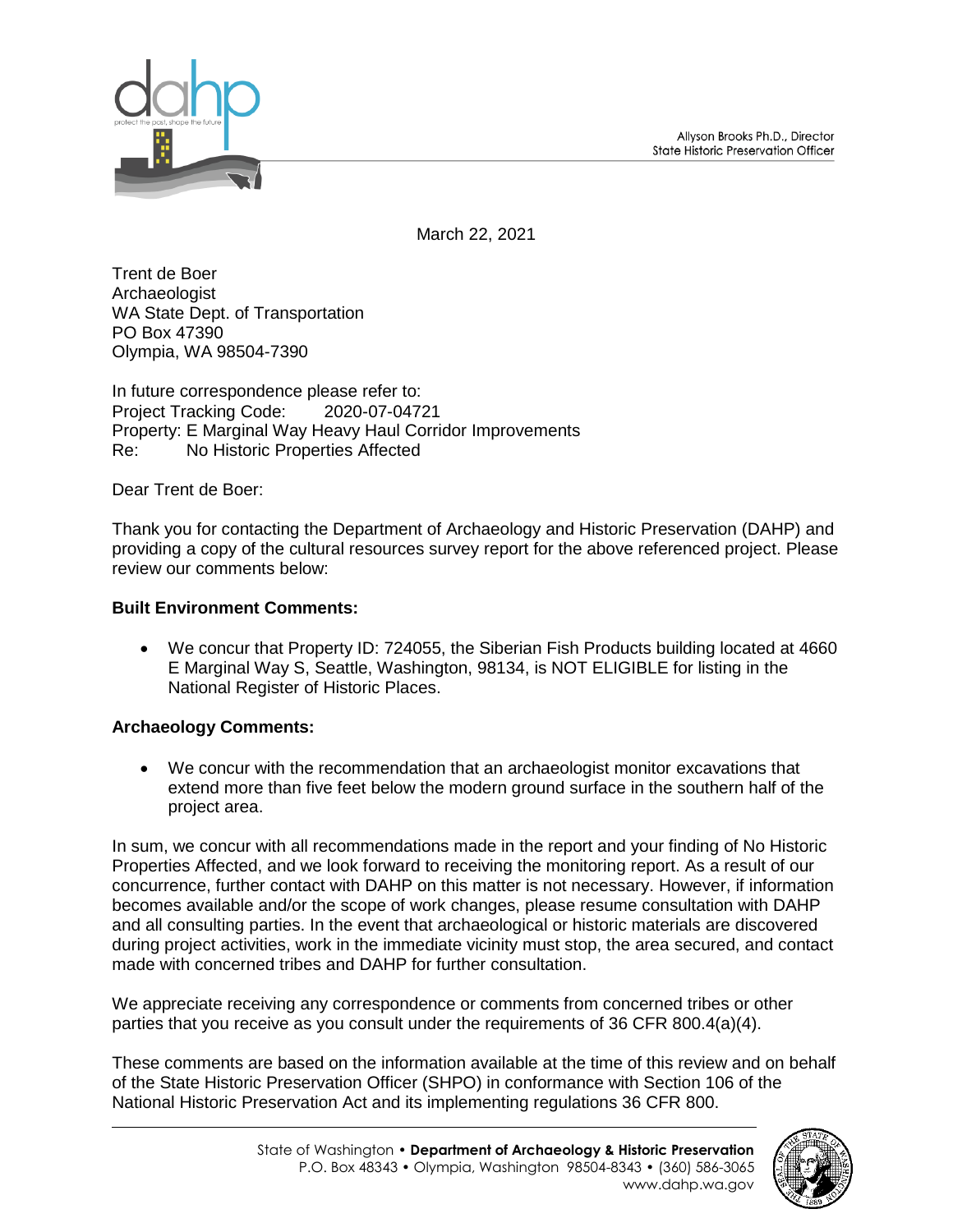Allyson Brooks Ph.D., Director State Historic Preservation Officer



March 22, 2021

Trent de Boer **Archaeologist** WA State Dept. of Transportation PO Box 47390 Olympia, WA 98504-7390

In future correspondence please refer to: Project Tracking Code: 2020-07-04721 Property: E Marginal Way Heavy Haul Corridor Improvements Re: No Historic Properties Affected

Dear Trent de Boer:

Thank you for contacting the Department of Archaeology and Historic Preservation (DAHP) and providing a copy of the cultural resources survey report for the above referenced project. Please review our comments below:

## **Built Environment Comments:**

 We concur that Property ID: 724055, the Siberian Fish Products building located at 4660 E Marginal Way S, Seattle, Washington, 98134, is NOT ELIGIBLE for listing in the National Register of Historic Places.

## **Archaeology Comments:**

 We concur with the recommendation that an archaeologist monitor excavations that extend more than five feet below the modern ground surface in the southern half of the project area.

In sum, we concur with all recommendations made in the report and your finding of No Historic Properties Affected, and we look forward to receiving the monitoring report. As a result of our concurrence, further contact with DAHP on this matter is not necessary. However, if information becomes available and/or the scope of work changes, please resume consultation with DAHP and all consulting parties. In the event that archaeological or historic materials are discovered during project activities, work in the immediate vicinity must stop, the area secured, and contact made with concerned tribes and DAHP for further consultation.

We appreciate receiving any correspondence or comments from concerned tribes or other parties that you receive as you consult under the requirements of 36 CFR 800.4(a)(4).

These comments are based on the information available at the time of this review and on behalf of the State Historic Preservation Officer (SHPO) in conformance with Section 106 of the National Historic Preservation Act and its implementing regulations 36 CFR 800.